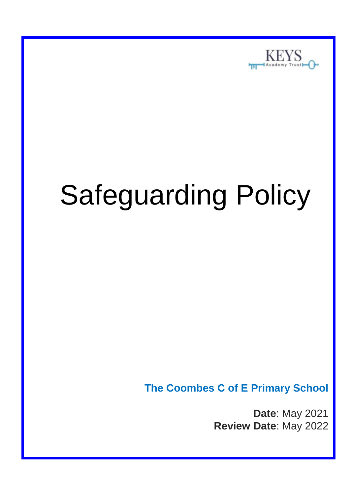

# Safeguarding Policy

**The Coombes C of E Primary School**

**Date**: May 2021 **Review Date**: May 2022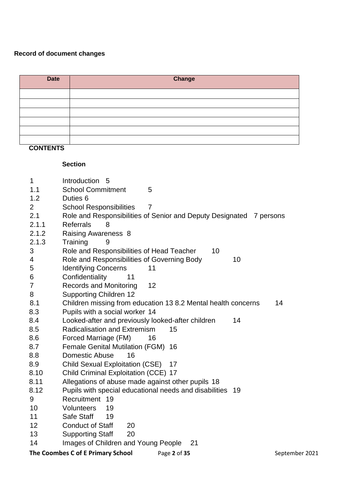# **Record of document changes**

| <b>Date</b> | Change |  |
|-------------|--------|--|
|             |        |  |
|             |        |  |
|             |        |  |
|             |        |  |
|             |        |  |
|             |        |  |

# **CONTENTS**

**Section** 

| 1                                                                   | Introduction 5                                                      |    |  |  |
|---------------------------------------------------------------------|---------------------------------------------------------------------|----|--|--|
| 1.1                                                                 | <b>School Commitment</b><br>5                                       |    |  |  |
| 1.2                                                                 | Duties 6                                                            |    |  |  |
| $\overline{2}$                                                      | $\overline{7}$<br><b>School Responsibilities</b>                    |    |  |  |
| 2.1                                                                 | Role and Responsibilities of Senior and Deputy Designated 7 persons |    |  |  |
| 2.1.1                                                               | <b>Referrals</b>                                                    |    |  |  |
| 2.1.2                                                               | <b>Raising Awareness 8</b>                                          |    |  |  |
| 2.1.3                                                               | Training<br>9                                                       |    |  |  |
| 3                                                                   | Role and Responsibilities of Head Teacher<br>10                     |    |  |  |
| 4                                                                   | Role and Responsibilities of Governing Body<br>10                   |    |  |  |
| 5                                                                   | <b>Identifying Concerns</b><br>11                                   |    |  |  |
| 6                                                                   | Confidentiality<br>11                                               |    |  |  |
| $\overline{7}$                                                      | <b>Records and Monitoring</b><br>12                                 |    |  |  |
| 8                                                                   | <b>Supporting Children 12</b>                                       |    |  |  |
| 8.1                                                                 | Children missing from education 13 8.2 Mental health concerns       | 14 |  |  |
| 8.3                                                                 | Pupils with a social worker 14                                      |    |  |  |
| 8.4                                                                 | Looked-after and previously looked-after children<br>14             |    |  |  |
| 8.5                                                                 | <b>Radicalisation and Extremism</b><br>15                           |    |  |  |
| 8.6                                                                 | Forced Marriage (FM)<br>16                                          |    |  |  |
| 8.7                                                                 | <b>Female Genital Mutilation (FGM)</b><br>16                        |    |  |  |
| 8.8                                                                 | Domestic Abuse<br>16                                                |    |  |  |
| 8.9                                                                 | <b>Child Sexual Exploitation (CSE)</b><br>17                        |    |  |  |
| 8.10                                                                | Child Criminal Exploitation (CCE) 17                                |    |  |  |
| 8.11                                                                | Allegations of abuse made against other pupils 18                   |    |  |  |
| 8.12                                                                | Pupils with special educational needs and disabilities 19           |    |  |  |
| 9                                                                   | Recruitment 19                                                      |    |  |  |
| 10                                                                  | <b>Volunteers</b><br>19                                             |    |  |  |
| 11                                                                  | Safe Staff<br>19                                                    |    |  |  |
| 12                                                                  | <b>Conduct of Staff</b><br>20                                       |    |  |  |
| 13                                                                  | <b>Supporting Staff</b><br>20                                       |    |  |  |
| 14                                                                  | Images of Children and Young People<br>21                           |    |  |  |
| The Coombes C of E Primary School<br>Page 2 of 35<br>September 2021 |                                                                     |    |  |  |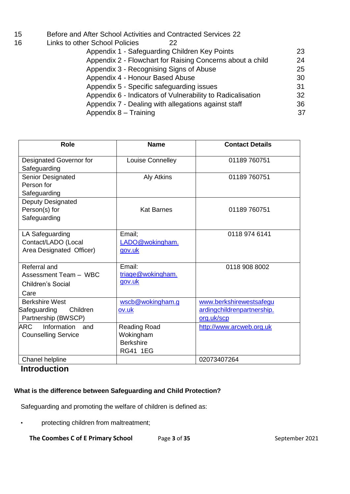- 15 Before and After School Activities and Contracted Services 22<br>16 Links to other School Policies 22
- 16 **Links to other School Policies**

| Appendix 1 - Safeguarding Children Key Points              | 23 |
|------------------------------------------------------------|----|
| Appendix 2 - Flowchart for Raising Concerns about a child  | 24 |
| Appendix 3 - Recognising Signs of Abuse                    | 25 |
| Appendix 4 - Honour Based Abuse                            | 30 |
| Appendix 5 - Specific safeguarding issues                  | 31 |
| Appendix 6 - Indicators of Vulnerability to Radicalisation | 32 |
| Appendix 7 - Dealing with allegations against staff        | 36 |
| Appendix 8 - Training                                      | 37 |

| Role                                                                      | <b>Name</b>                                                             | <b>Contact Details</b>                                              |
|---------------------------------------------------------------------------|-------------------------------------------------------------------------|---------------------------------------------------------------------|
| Designated Governor for<br>Safeguarding                                   | Louise Connelley                                                        | 01189 760751                                                        |
| Senior Designated<br>Person for<br>Safeguarding                           | <b>Aly Atkins</b>                                                       | 01189 760751                                                        |
| Deputy Designated<br>Person(s) for<br>Safeguarding                        | <b>Kat Barnes</b>                                                       | 01189 760751                                                        |
| LA Safeguarding<br>Contact/LADO (Local<br>Area Designated Officer)        | Email;<br>LADO@wokingham.<br>gov.uk                                     | 0118 974 6141                                                       |
| Referral and<br>Assessment Team - WBC<br><b>Children's Social</b><br>Care | Email:<br>triage@wokingham.<br>gov.uk                                   | 0118 908 8002                                                       |
| <b>Berkshire West</b><br>Children<br>Safeguarding<br>Partnership (BWSCP)  | wscb@wokingham.g<br>ov.uk                                               | www.berkshirewestsafegu<br>ardingchildrenpartnership.<br>org.uk/scp |
| Information<br>ARC<br>and<br><b>Counselling Service</b>                   | <b>Reading Road</b><br>Wokingham<br><b>Berkshire</b><br><b>RG41 1EG</b> | http://www.arcweb.org.uk                                            |
| Chanel helpline                                                           |                                                                         | 02073407264                                                         |

# **Introduction**

# **What is the difference between Safeguarding and Child Protection?**

Safeguarding and promoting the welfare of children is defined as:

• protecting children from maltreatment;

**The Coombes C of E Primary School Page 3 of 35 September 2021**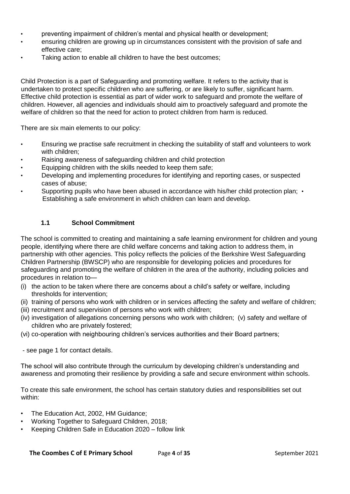- preventing impairment of children's mental and physical health or development;
- ensuring children are growing up in circumstances consistent with the provision of safe and effective care;
- Taking action to enable all children to have the best outcomes;

Child Protection is a part of Safeguarding and promoting welfare. It refers to the activity that is undertaken to protect specific children who are suffering, or are likely to suffer, significant harm. Effective child protection is essential as part of wider work to safeguard and promote the welfare of children. However, all agencies and individuals should aim to proactively safeguard and promote the welfare of children so that the need for action to protect children from harm is reduced.

There are six main elements to our policy:

- Ensuring we practise safe recruitment in checking the suitability of staff and volunteers to work with children;
- Raising awareness of safeguarding children and child protection
- Equipping children with the skills needed to keep them safe;
- Developing and implementing procedures for identifying and reporting cases, or suspected cases of abuse;
- Supporting pupils who have been abused in accordance with his/her child protection plan; Establishing a safe environment in which children can learn and develop.

# **1.1 School Commitment**

The school is committed to creating and maintaining a safe learning environment for children and young people, identifying where there are child welfare concerns and taking action to address them, in partnership with other agencies. This policy reflects the policies of the Berkshire West Safeguarding Children Partnership (BWSCP) who are responsible for developing policies and procedures for safeguarding and promoting the welfare of children in the area of the authority, including policies and procedures in relation to—

- (i) the action to be taken where there are concerns about a child's safety or welfare, including thresholds for intervention;
- (ii) training of persons who work with children or in services affecting the safety and welfare of children;
- (iii) recruitment and supervision of persons who work with children;
- (iv) investigation of allegations concerning persons who work with children; (v) safety and welfare of children who are privately fostered;
- (vi) co-operation with neighbouring children's services authorities and their Board partners;

- see page 1 for contact details.

The school will also contribute through the curriculum by developing children's understanding and awareness and promoting their resilience by providing a safe and secure environment within schools.

To create this safe environment, the school has certain statutory duties and responsibilities set out within:

- The Education Act, 2002, HM Guidance;
- Working Together to Safeguard Children, 2018;
- Keeping Children Safe in Education 2020 follow link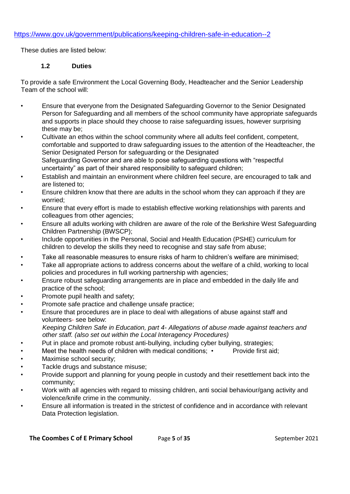These duties are listed below:

# **1.2 Duties**

To provide a safe Environment the Local Governing Body, Headteacher and the Senior Leadership Team of the school will:

- Ensure that everyone from the Designated Safeguarding Governor to the Senior Designated Person for Safeguarding and all members of the school community have appropriate safeguards and supports in place should they choose to raise safeguarding issues, however surprising these may be;
- Cultivate an ethos within the school community where all adults feel confident, competent, comfortable and supported to draw safeguarding issues to the attention of the Headteacher, the Senior Designated Person for safeguarding or the Designated Safeguarding Governor and are able to pose safeguarding questions with "respectful uncertainty" as part of their shared responsibility to safeguard children;
- Establish and maintain an environment where children feel secure, are encouraged to talk and are listened to;
- Ensure children know that there are adults in the school whom they can approach if they are worried;
- Ensure that every effort is made to establish effective working relationships with parents and colleagues from other agencies;
- Ensure all adults working with children are aware of the role of the Berkshire West Safeguarding Children Partnership (BWSCP);
- Include opportunities in the Personal, Social and Health Education (PSHE) curriculum for children to develop the skills they need to recognise and stay safe from abuse;
- Take all reasonable measures to ensure risks of harm to children's welfare are minimised;
- Take all appropriate actions to address concerns about the welfare of a child, working to local policies and procedures in full working partnership with agencies;
- Ensure robust safeguarding arrangements are in place and embedded in the daily life and practice of the school;
- Promote pupil health and safety;
- Promote safe practice and challenge unsafe practice;
- Ensure that procedures are in place to deal with allegations of abuse against staff and volunteers- see below:

*Keeping Children Safe in Education, part 4- Allegations of abuse made against teachers and other staff. (also set out within the Local Interagency Procedures)*

- Put in place and promote robust anti-bullying, including cyber bullying, strategies;
- Meet the health needs of children with medical conditions;  $\cdot$  Provide first aid;
- Maximise school security;
- Tackle drugs and substance misuse;
- Provide support and planning for young people in custody and their resettlement back into the community;
- Work with all agencies with regard to missing children, anti social behaviour/gang activity and violence/knife crime in the community.
- Ensure all information is treated in the strictest of confidence and in accordance with relevant Data Protection legislation.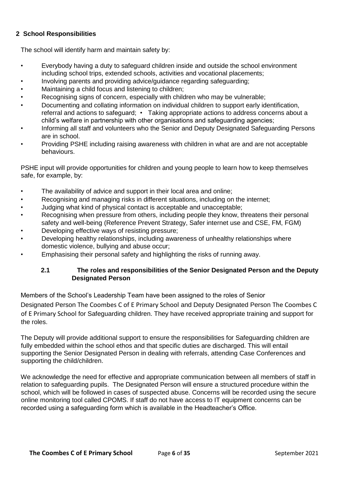# **2 School Responsibilities**

The school will identify harm and maintain safety by:

- Everybody having a duty to safeguard children inside and outside the school environment including school trips, extended schools, activities and vocational placements;
- Involving parents and providing advice/guidance regarding safeguarding;
- Maintaining a child focus and listening to children;
- Recognising signs of concern, especially with children who may be vulnerable;
- Documenting and collating information on individual children to support early identification, referral and actions to safeguard; • Taking appropriate actions to address concerns about a child's welfare in partnership with other organisations and safeguarding agencies;
- Informing all staff and volunteers who the Senior and Deputy Designated Safeguarding Persons are in school.
- Providing PSHE including raising awareness with children in what are and are not acceptable behaviours.

PSHE input will provide opportunities for children and young people to learn how to keep themselves safe, for example, by:

- The availability of advice and support in their local area and online;
- Recognising and managing risks in different situations, including on the internet;
- Judging what kind of physical contact is acceptable and unacceptable;
- Recognising when pressure from others, including people they know, threatens their personal safety and well-being (Reference Prevent Strategy, Safer internet use and CSE, FM, FGM)
- Developing effective ways of resisting pressure;
- Developing healthy relationships, including awareness of unhealthy relationships where domestic violence, bullying and abuse occur;
- Emphasising their personal safety and highlighting the risks of running away.

# **2.1 The roles and responsibilities of the Senior Designated Person and the Deputy Designated Person**

Members of the School's Leadership Team have been assigned to the roles of Senior Designated Person The Coombes C of E Primary School and Deputy Designated Person The Coombes C of E Primary School for Safeguarding children. They have received appropriate training and support for the roles.

The Deputy will provide additional support to ensure the responsibilities for Safeguarding children are fully embedded within the school ethos and that specific duties are discharged. This will entail supporting the Senior Designated Person in dealing with referrals, attending Case Conferences and supporting the child/children.

We acknowledge the need for effective and appropriate communication between all members of staff in relation to safeguarding pupils. The Designated Person will ensure a structured procedure within the school, which will be followed in cases of suspected abuse. Concerns will be recorded using the secure online monitoring tool called CPOMS. If staff do not have access to IT equipment concerns can be recorded using a safeguarding form which is available in the Headteacher's Office.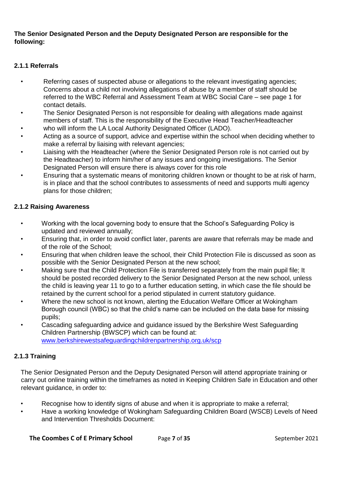**The Senior Designated Person and the Deputy Designated Person are responsible for the following:** 

# **2.1.1 Referrals**

- Referring cases of suspected abuse or allegations to the relevant investigating agencies; Concerns about a child not involving allegations of abuse by a member of staff should be referred to the WBC Referral and Assessment Team at WBC Social Care – see page 1 for contact details.
- The Senior Designated Person is not responsible for dealing with allegations made against members of staff. This is the responsibility of the Executive Head Teacher/Headteacher
- who will inform the LA Local Authority Designated Officer (LADO).
- Acting as a source of support, advice and expertise within the school when deciding whether to make a referral by liaising with relevant agencies;
- Liaising with the Headteacher (where the Senior Designated Person role is not carried out by the Headteacher) to inform him/her of any issues and ongoing investigations. The Senior Designated Person will ensure there is always cover for this role
- Ensuring that a systematic means of monitoring children known or thought to be at risk of harm, is in place and that the school contributes to assessments of need and supports multi agency plans for those children;

# **2.1.2 Raising Awareness**

- Working with the local governing body to ensure that the School's Safeguarding Policy is updated and reviewed annually;
- Ensuring that, in order to avoid conflict later, parents are aware that referrals may be made and of the role of the School;
- Ensuring that when children leave the school, their Child Protection File is discussed as soon as possible with the Senior Designated Person at the new school;
- Making sure that the Child Protection File is transferred separately from the main pupil file; It should be posted recorded delivery to the Senior Designated Person at the new school, unless the child is leaving year 11 to go to a further education setting, in which case the file should be retained by the current school for a period stipulated in current statutory guidance.
- Where the new school is not known, alerting the Education Welfare Officer at Wokingham Borough council (WBC) so that the child's name can be included on the data base for missing pupils;
- Cascading safeguarding advice and guidance issued by the Berkshire West Safeguarding Children Partnership (BWSCP) which can be found at: [www.berkshirewestsafeguardingchildrenpartnership.org.uk/scp](http://www.berkshirewestsafeguardingchildrenpartnership.org.uk/scp)

# **2.1.3 Training**

The Senior Designated Person and the Deputy Designated Person will attend appropriate training or carry out online training within the timeframes as noted in Keeping Children Safe in Education and other relevant guidance, in order to:

- Recognise how to identify signs of abuse and when it is appropriate to make a referral;
- Have a working knowledge of Wokingham Safeguarding Children Board (WSCB) Levels of Need and Intervention Thresholds Document: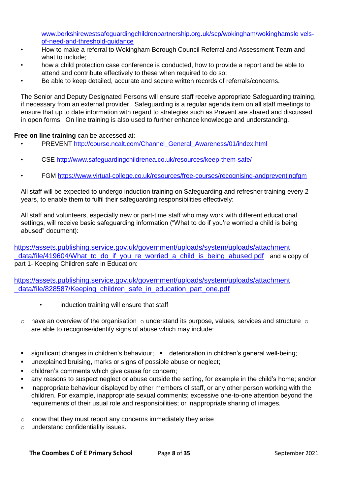[www.berkshirewestsafeguardingchildrenpartnership.org.uk/scp/wokingham/wokinghamsle vels](http://www.berkshirewestsafeguardingchildrenpartnership.org.uk/scp/wokingham/wokinghams-levels-of-need-and-threshold-guidance)[of-need-and-threshold-guidance](http://www.berkshirewestsafeguardingchildrenpartnership.org.uk/scp/wokingham/wokinghams-levels-of-need-and-threshold-guidance) 

- How to make a referral to Wokingham Borough Council Referral and Assessment Team and what to include;
- how a child protection case conference is conducted, how to provide a report and be able to attend and contribute effectively to these when required to do so;
- Be able to keep detailed, accurate and secure written records of referrals/concerns.

The Senior and Deputy Designated Persons will ensure staff receive appropriate Safeguarding training, if necessary from an external provider. Safeguarding is a regular agenda item on all staff meetings to ensure that up to date information with regard to strategies such as Prevent are shared and discussed in open forms. On line training is also used to further enhance knowledge and understanding.

#### **Free on line training** can be accessed at:

- PREVENT [http://course.ncalt.com/Channel\\_General\\_Awareness/01/index.html](http://course.ncalt.com/Channel_General_Awareness/01/index.html)
- CSE<http://www.safeguardingchildrenea.co.uk/resources/keep-them-safe/>
- FGM [https://www.virtual-college.co.uk/resources/free-courses/recognising-andpreventingfgm](https://www.virtual-college.co.uk/resources/free-courses/recognising-and-preventing-fgm)

All staff will be expected to undergo induction training on Safeguarding and refresher training every 2 years, to enable them to fulfil their safeguarding responsibilities effectively:

All staff and volunteers, especially new or part-time staff who may work with different educational settings, will receive basic safeguarding information ("What to do if you're worried a child is being abused" document):

[https://assets.publishing.service.gov.uk/government/uploads/system/uploads/attachment](https://assets.publishing.service.gov.uk/government/uploads/system/uploads/attachment_data/file/419604/What_to_do_if_you_re_worried_a_child_is_being_abused.pdf) data/file/419604/What to do if you re worried a child is being abused.pdf and a copy of part 1- Keeping Children safe in Education:

[https://assets.publishing.service.gov.uk/government/uploads/system/uploads/attachment](https://assets.publishing.service.gov.uk/government/uploads/system/uploads/attachment_data/file/828587/Keeping_children_safe_in_education_part_one.pdf) [\\_data/file/828587/Keeping\\_children\\_safe\\_in\\_education\\_part\\_one.pdf](https://assets.publishing.service.gov.uk/government/uploads/system/uploads/attachment_data/file/828587/Keeping_children_safe_in_education_part_one.pdf)

- induction training will ensure that staff
- $\circ$  have an overview of the organisation  $\circ$  understand its purpose, values, services and structure  $\circ$ are able to recognise/identify signs of abuse which may include:
- significant changes in children's behaviour;  $\bullet$  deterioration in children's general well-being;
- unexplained bruising, marks or signs of possible abuse or neglect;
- children's comments which give cause for concern;
- any reasons to suspect neglect or abuse outside the setting, for example in the child's home; and/or
- inappropriate behaviour displayed by other members of staff, or any other person working with the children. For example, inappropriate sexual comments; excessive one-to-one attention beyond the requirements of their usual role and responsibilities; or inappropriate sharing of images.
- o know that they must report any concerns immediately they arise
- o understand confidentiality issues.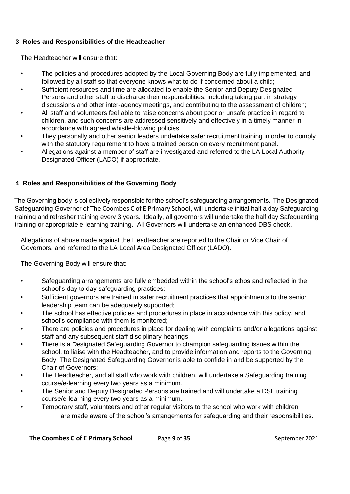# **3 Roles and Responsibilities of the Headteacher**

The Headteacher will ensure that:

- The policies and procedures adopted by the Local Governing Body are fully implemented, and followed by all staff so that everyone knows what to do if concerned about a child;
- Sufficient resources and time are allocated to enable the Senior and Deputy Designated Persons and other staff to discharge their responsibilities, including taking part in strategy discussions and other inter-agency meetings, and contributing to the assessment of children;
- All staff and volunteers feel able to raise concerns about poor or unsafe practice in regard to children, and such concerns are addressed sensitively and effectively in a timely manner in accordance with agreed whistle-blowing policies;
- They personally and other senior leaders undertake safer recruitment training in order to comply with the statutory requirement to have a trained person on every recruitment panel.
- Allegations against a member of staff are investigated and referred to the LA Local Authority Designated Officer (LADO) if appropriate.

# **4 Roles and Responsibilities of the Governing Body**

The Governing body is collectively responsible for the school's safeguarding arrangements. The Designated Safeguarding Governor of The Coombes C of E Primary School, will undertake initial half a day Safeguarding training and refresher training every 3 years. Ideally, all governors will undertake the half day Safeguarding training or appropriate e-learning training. All Governors will undertake an enhanced DBS check.

Allegations of abuse made against the Headteacher are reported to the Chair or Vice Chair of Governors, and referred to the LA Local Area Designated Officer (LADO).

The Governing Body will ensure that:

- Safeguarding arrangements are fully embedded within the school's ethos and reflected in the school's day to day safeguarding practices;
- Sufficient governors are trained in safer recruitment practices that appointments to the senior leadership team can be adequately supported;
- The school has effective policies and procedures in place in accordance with this policy, and school's compliance with them is monitored;
- There are policies and procedures in place for dealing with complaints and/or allegations against staff and any subsequent staff disciplinary hearings.
- There is a Designated Safeguarding Governor to champion safeguarding issues within the school, to liaise with the Headteacher, and to provide information and reports to the Governing Body. The Designated Safeguarding Governor is able to confide in and be supported by the Chair of Governors;
- The Headteacher, and all staff who work with children, will undertake a Safeguarding training course/e-learning every two years as a minimum.
- The Senior and Deputy Designated Persons are trained and will undertake a DSL training course/e-learning every two years as a minimum.
- Temporary staff, volunteers and other regular visitors to the school who work with children are made aware of the school's arrangements for safeguarding and their responsibilities.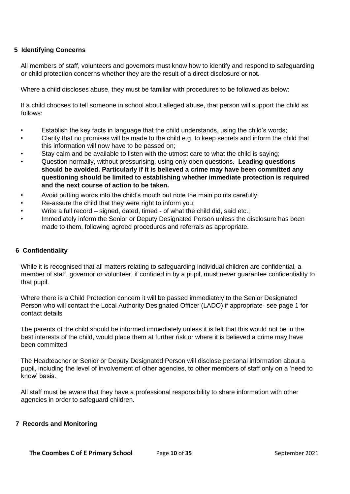## **5 Identifying Concerns**

All members of staff, volunteers and governors must know how to identify and respond to safeguarding or child protection concerns whether they are the result of a direct disclosure or not.

Where a child discloses abuse, they must be familiar with procedures to be followed as below:

If a child chooses to tell someone in school about alleged abuse, that person will support the child as follows:

- Establish the key facts in language that the child understands, using the child's words;
- Clarify that no promises will be made to the child e.g. to keep secrets and inform the child that this information will now have to be passed on;
- Stay calm and be available to listen with the utmost care to what the child is saying;
- Question normally, without pressurising, using only open questions. **Leading questions should be avoided. Particularly if it is believed a crime may have been committed any questioning should be limited to establishing whether immediate protection is required and the next course of action to be taken.**
- Avoid putting words into the child's mouth but note the main points carefully;
- Re-assure the child that they were right to inform you;
- Write a full record signed, dated, timed of what the child did, said etc.;
- Immediately inform the Senior or Deputy Designated Person unless the disclosure has been made to them, following agreed procedures and referrals as appropriate.

## **6 Confidentiality**

While it is recognised that all matters relating to safeguarding individual children are confidential, a member of staff, governor or volunteer, if confided in by a pupil, must never guarantee confidentiality to that pupil.

Where there is a Child Protection concern it will be passed immediately to the Senior Designated Person who will contact the Local Authority Designated Officer (LADO) if appropriate- see page 1 for contact details

The parents of the child should be informed immediately unless it is felt that this would not be in the best interests of the child, would place them at further risk or where it is believed a crime may have been committed

The Headteacher or Senior or Deputy Designated Person will disclose personal information about a pupil, including the level of involvement of other agencies, to other members of staff only on a 'need to know' basis.

All staff must be aware that they have a professional responsibility to share information with other agencies in order to safeguard children.

## **7 Records and Monitoring**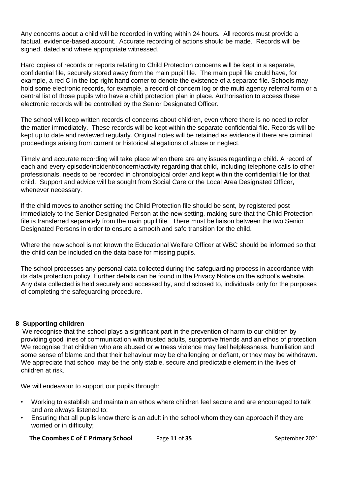Any concerns about a child will be recorded in writing within 24 hours. All records must provide a factual, evidence-based account. Accurate recording of actions should be made. Records will be signed, dated and where appropriate witnessed.

Hard copies of records or reports relating to Child Protection concerns will be kept in a separate, confidential file, securely stored away from the main pupil file. The main pupil file could have, for example, a red C in the top right hand corner to denote the existence of a separate file. Schools may hold some electronic records, for example, a record of concern log or the multi agency referral form or a central list of those pupils who have a child protection plan in place. Authorisation to access these electronic records will be controlled by the Senior Designated Officer.

The school will keep written records of concerns about children, even where there is no need to refer the matter immediately. These records will be kept within the separate confidential file. Records will be kept up to date and reviewed regularly. Original notes will be retained as evidence if there are criminal proceedings arising from current or historical allegations of abuse or neglect.

Timely and accurate recording will take place when there are any issues regarding a child. A record of each and every episode/incident/concern/activity regarding that child, including telephone calls to other professionals, needs to be recorded in chronological order and kept within the confidential file for that child. Support and advice will be sought from Social Care or the Local Area Designated Officer, whenever necessary.

If the child moves to another setting the Child Protection file should be sent, by registered post immediately to the Senior Designated Person at the new setting, making sure that the Child Protection file is transferred separately from the main pupil file. There must be liaison between the two Senior Designated Persons in order to ensure a smooth and safe transition for the child.

Where the new school is not known the Educational Welfare Officer at WBC should be informed so that the child can be included on the data base for missing pupils.

The school processes any personal data collected during the safeguarding process in accordance with its data protection policy. Further details can be found in the Privacy Notice on the school's website. Any data collected is held securely and accessed by, and disclosed to, individuals only for the purposes of completing the safeguarding procedure.

## **8 Supporting children**

We recognise that the school plays a significant part in the prevention of harm to our children by providing good lines of communication with trusted adults, supportive friends and an ethos of protection. We recognise that children who are abused or witness violence may feel helplessness, humiliation and some sense of blame and that their behaviour may be challenging or defiant, or they may be withdrawn. We appreciate that school may be the only stable, secure and predictable element in the lives of children at risk.

We will endeavour to support our pupils through:

- Working to establish and maintain an ethos where children feel secure and are encouraged to talk and are always listened to;
- Ensuring that all pupils know there is an adult in the school whom they can approach if they are worried or in difficulty;

**The Coombes C of E Primary School Page 11 of 35 September 2021**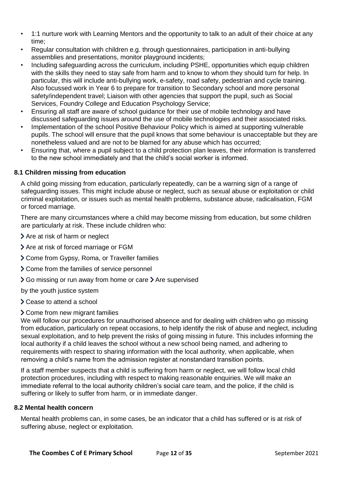- 1:1 nurture work with Learning Mentors and the opportunity to talk to an adult of their choice at any time;
- Regular consultation with children e.g. through questionnaires, participation in anti-bullying assemblies and presentations, monitor playground incidents;
- Including safeguarding across the curriculum, including PSHE, opportunities which equip children with the skills they need to stay safe from harm and to know to whom they should turn for help. In particular, this will include anti-bullying work, e-safety, road safety, pedestrian and cycle training. Also focussed work in Year 6 to prepare for transition to Secondary school and more personal safety/independent travel; Liaison with other agencies that support the pupil, such as Social Services, Foundry College and Education Psychology Service;
- Ensuring all staff are aware of school guidance for their use of mobile technology and have discussed safeguarding issues around the use of mobile technologies and their associated risks.
- Implementation of the school Positive Behaviour Policy which is aimed at supporting vulnerable pupils. The school will ensure that the pupil knows that some behaviour is unacceptable but they are nonetheless valued and are not to be blamed for any abuse which has occurred;
- Ensuring that, where a pupil subject to a child protection plan leaves, their information is transferred to the new school immediately and that the child's social worker is informed.

# **8.1 Children missing from education**

A child going missing from education, particularly repeatedly, can be a warning sign of a range of safeguarding issues. This might include abuse or neglect, such as sexual abuse or exploitation or child criminal exploitation, or issues such as mental health problems, substance abuse, radicalisation, FGM or forced marriage.

There are many circumstances where a child may become missing from education, but some children are particularly at risk. These include children who:

- > Are at risk of harm or neglect
- > Are at risk of forced marriage or FGM
- Come from Gypsy, Roma, or Traveller families
- Come from the families of service personnel
- $\geq$  Go missing or run away from home or care  $\geq$  Are supervised

by the youth justice system

Cease to attend a school

## Come from new migrant families

We will follow our procedures for unauthorised absence and for dealing with children who go missing from education, particularly on repeat occasions, to help identify the risk of abuse and neglect, including sexual exploitation, and to help prevent the risks of going missing in future. This includes informing the local authority if a child leaves the school without a new school being named, and adhering to requirements with respect to sharing information with the local authority, when applicable, when removing a child's name from the admission register at nonstandard transition points.

If a staff member suspects that a child is suffering from harm or neglect, we will follow local child protection procedures, including with respect to making reasonable enquiries. We will make an immediate referral to the local authority children's social care team, and the police, if the child is suffering or likely to suffer from harm, or in immediate danger.

## **8.2 Mental health concern**

Mental health problems can, in some cases, be an indicator that a child has suffered or is at risk of suffering abuse, neglect or exploitation.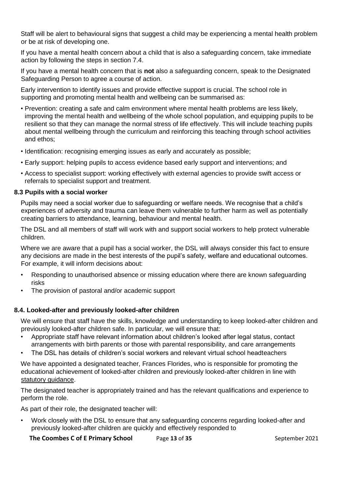Staff will be alert to behavioural signs that suggest a child may be experiencing a mental health problem or be at risk of developing one.

If you have a mental health concern about a child that is also a safeguarding concern, take immediate action by following the steps in section 7.4.

If you have a mental health concern that is **not** also a safeguarding concern, speak to the Designated Safeguarding Person to agree a course of action.

Early intervention to identify issues and provide effective support is crucial. The school role in supporting and promoting mental health and wellbeing can be summarised as:

- Prevention: creating a safe and calm environment where mental health problems are less likely, improving the mental health and wellbeing of the whole school population, and equipping pupils to be resilient so that they can manage the normal stress of life effectively. This will include teaching pupils about mental wellbeing through the curriculum and reinforcing this teaching through school activities and ethos;
- Identification: recognising emerging issues as early and accurately as possible;
- Early support: helping pupils to access evidence based early support and interventions; and
- Access to specialist support: working effectively with external agencies to provide swift access or referrals to specialist support and treatment.

## **8.3 Pupils with a social worker**

Pupils may need a social worker due to safeguarding or welfare needs. We recognise that a child's experiences of adversity and trauma can leave them vulnerable to further harm as well as potentially creating barriers to attendance, learning, behaviour and mental health.

The DSL and all members of staff will work with and support social workers to help protect vulnerable children.

Where we are aware that a pupil has a social worker, the DSL will always consider this fact to ensure any decisions are made in the best interests of the pupil's safety, welfare and educational outcomes. For example, it will inform decisions about:

- Responding to unauthorised absence or missing education where there are known safeguarding risks
- The provision of pastoral and/or academic support

# **8.4. Looked-after and previously looked-after children**

We will ensure that staff have the skills, knowledge and understanding to keep looked-after children and previously looked-after children safe. In particular, we will ensure that:

- Appropriate staff have relevant information about children's looked after legal status, contact arrangements with birth parents or those with parental responsibility, and care arrangements
- The DSL has details of children's social workers and relevant virtual school headteachers

We have appointed a designated teacher. Frances Florides, who is responsible for promoting the educational achievement of looked-after children and previously looked-after children in line with [statutory guidance.](https://www.gov.uk/government/publications/designated-teacher-for-looked-after-children) 

The designated teacher is appropriately trained and has the relevant qualifications and experience to perform the role.

As part of their role, the designated teacher will:

• Work closely with the DSL to ensure that any safeguarding concerns regarding looked-after and previously looked-after children are quickly and effectively responded to

**The Coombes C of E Primary School Page 13 of 35** September 2021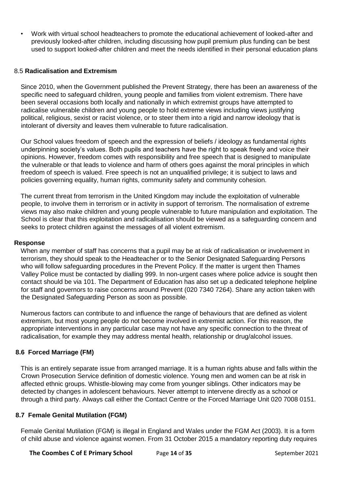• Work with virtual school headteachers to promote the educational achievement of looked-after and previously looked-after children, including discussing how pupil premium plus funding can be best used to support looked-after children and meet the needs identified in their personal education plans

# 8.5 **Radicalisation and Extremism**

Since 2010, when the Government published the Prevent Strategy, there has been an awareness of the specific need to safeguard children, young people and families from violent extremism. There have been several occasions both locally and nationally in which extremist groups have attempted to radicalise vulnerable children and young people to hold extreme views including views justifying political, religious, sexist or racist violence, or to steer them into a rigid and narrow ideology that is intolerant of diversity and leaves them vulnerable to future radicalisation.

Our School values freedom of speech and the expression of beliefs / ideology as fundamental rights underpinning society's values. Both pupils and teachers have the right to speak freely and voice their opinions. However, freedom comes with responsibility and free speech that is designed to manipulate the vulnerable or that leads to violence and harm of others goes against the moral principles in which freedom of speech is valued. Free speech is not an unqualified privilege; it is subject to laws and policies governing equality, human rights, community safety and community cohesion.

The current threat from terrorism in the United Kingdom may include the exploitation of vulnerable people, to involve them in terrorism or in activity in support of terrorism. The normalisation of extreme views may also make children and young people vulnerable to future manipulation and exploitation. The School is clear that this exploitation and radicalisation should be viewed as a safeguarding concern and seeks to protect children against the messages of all violent extremism.

#### **Response**

When any member of staff has concerns that a pupil may be at risk of radicalisation or involvement in terrorism, they should speak to the Headteacher or to the Senior Designated Safeguarding Persons who will follow safeguarding procedures in the Prevent Policy. If the matter is urgent then Thames Valley Police must be contacted by dialling 999. In non-urgent cases where police advice is sought then contact should be via 101. The Department of Education has also set up a dedicated telephone helpline for staff and governors to raise concerns around Prevent (020 7340 7264). Share any action taken with the Designated Safeguarding Person as soon as possible.

Numerous factors can contribute to and influence the range of behaviours that are defined as violent extremism, but most young people do not become involved in extremist action. For this reason, the appropriate interventions in any particular case may not have any specific connection to the threat of radicalisation, for example they may address mental health, relationship or drug/alcohol issues.

## **8.6 Forced Marriage (FM)**

This is an entirely separate issue from arranged marriage. It is a human rights abuse and falls within the Crown Prosecution Service definition of domestic violence. Young men and women can be at risk in affected ethnic groups. Whistle-blowing may come from younger siblings. Other indicators may be detected by changes in adolescent behaviours. Never attempt to intervene directly as a school or through a third party. Always call either the Contact Centre or the Forced Marriage Unit 020 7008 0151.

## **8.7 Female Genital Mutilation (FGM)**

Female Genital Mutilation (FGM) is illegal in England and Wales under the FGM Act (2003). It is a form of child abuse and violence against women. From 31 October 2015 a mandatory reporting duty requires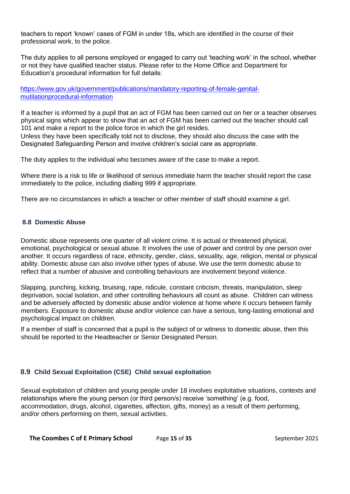teachers to report 'known' cases of FGM in under 18s, which are identified in the course of their professional work, to the police.

The duty applies to all persons employed or engaged to carry out 'teaching work' in the school, whether or not they have qualified teacher status. Please refer to the Home Office and Department for Education's procedural information for full details:

[https://www.gov.uk/government/publications/mandatory-reporting-of-female-genital](https://www.gov.uk/government/publications/mandatory-reporting-of-female-genital-mutilation-procedural-information)[mutilationprocedural-information](https://www.gov.uk/government/publications/mandatory-reporting-of-female-genital-mutilation-procedural-information) 

If a teacher is informed by a pupil that an act of FGM has been carried out on her or a teacher observes physical signs which appear to show that an act of FGM has been carried out the teacher should call 101 and make a report to the police force in which the girl resides.

Unless they have been specifically told not to disclose, they should also discuss the case with the Designated Safeguarding Person and involve children's social care as appropriate.

The duty applies to the individual who becomes aware of the case to make a report.

Where there is a risk to life or likelihood of serious immediate harm the teacher should report the case immediately to the police, including dialling 999 if appropriate.

There are no circumstances in which a teacher or other member of staff should examine a girl.

#### **8.8 Domestic Abuse**

Domestic abuse represents one quarter of all violent crime. It is actual or threatened physical, emotional, psychological or sexual abuse. It involves the use of power and control by one person over another. It occurs regardless of race, ethnicity, gender, class, sexuality, age, religion, mental or physical ability. Domestic abuse can also involve other types of abuse. We use the term domestic abuse to reflect that a number of abusive and controlling behaviours are involvement beyond violence.

Slapping, punching, kicking, bruising, rape, ridicule, constant criticism, threats, manipulation, sleep deprivation, social isolation, and other controlling behaviours all count as abuse. Children can witness and be adversely affected by domestic abuse and/or violence at home where it occurs between family members. Exposure to domestic abuse and/or violence can have a serious, long-lasting emotional and psychological impact on children.

If a member of staff is concerned that a pupil is the subject of or witness to domestic abuse, then this should be reported to the Headteacher or Senior Designated Person.

## **8.9 Child Sexual Exploitation (CSE) Child sexual exploitation**

Sexual exploitation of children and young people under 18 involves exploitative situations, contexts and relationships where the young person (or third person/s) receive 'something' (e.g. food, accommodation, drugs, alcohol, cigarettes, affection, gifts, money) as a result of them performing, and/or others performing on them, sexual activities.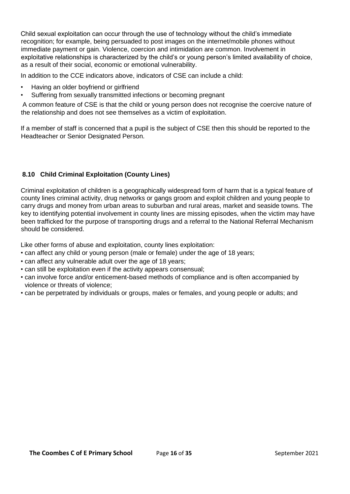Child sexual exploitation can occur through the use of technology without the child's immediate recognition; for example, being persuaded to post images on the internet/mobile phones without immediate payment or gain. Violence, coercion and intimidation are common. Involvement in exploitative relationships is characterized by the child's or young person's limited availability of choice, as a result of their social, economic or emotional vulnerability.

In addition to the CCE indicators above, indicators of CSE can include a child:

- Having an older boyfriend or girlfriend
- Suffering from sexually transmitted infections or becoming pregnant

A common feature of CSE is that the child or young person does not recognise the coercive nature of the relationship and does not see themselves as a victim of exploitation.

If a member of staff is concerned that a pupil is the subject of CSE then this should be reported to the Headteacher or Senior Designated Person.

# **8.10 Child Criminal Exploitation (County Lines)**

Criminal exploitation of children is a geographically widespread form of harm that is a typical feature of county lines criminal activity, drug networks or gangs groom and exploit children and young people to carry drugs and money from urban areas to suburban and rural areas, market and seaside towns. The key to identifying potential involvement in county lines are missing episodes, when the victim may have been trafficked for the purpose of transporting drugs and a referral to the National Referral Mechanism should be considered.

Like other forms of abuse and exploitation, county lines exploitation:

- can affect any child or young person (male or female) under the age of 18 years;
- can affect any vulnerable adult over the age of 18 years;
- can still be exploitation even if the activity appears consensual;
- can involve force and/or enticement-based methods of compliance and is often accompanied by violence or threats of violence;
- can be perpetrated by individuals or groups, males or females, and young people or adults; and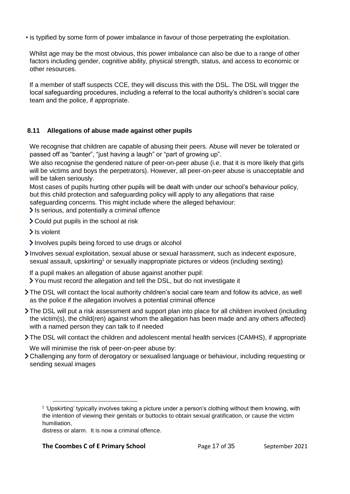• is typified by some form of power imbalance in favour of those perpetrating the exploitation.

Whilst age may be the most obvious, this power imbalance can also be due to a range of other factors including gender, cognitive ability, physical strength, status, and access to economic or other resources.

If a member of staff suspects CCE, they will discuss this with the DSL. The DSL will trigger the local safeguarding procedures, including a referral to the local authority's children's social care team and the police, if appropriate.

# **8.11 Allegations of abuse made against other pupils**

We recognise that children are capable of abusing their peers. Abuse will never be tolerated or passed off as "banter", "just having a laugh" or "part of growing up".

We also recognise the gendered nature of peer-on-peer abuse (i.e. that it is more likely that girls will be victims and boys the perpetrators). However, all peer-on-peer abuse is unacceptable and will be taken seriously.

Most cases of pupils hurting other pupils will be dealt with under our school's behaviour policy, but this child protection and safeguarding policy will apply to any allegations that raise

safeguarding concerns. This might include where the alleged behaviour:

- It is serious, and potentially a criminal offence
- Could put pupils in the school at risk
- > Is violent

-

- Involves pupils being forced to use drugs or alcohol
- Involves sexual exploitation, sexual abuse or sexual harassment, such as indecent exposure, sexual assault, upskirting<sup>1</sup> or sexually inappropriate pictures or videos (including sexting)
	- If a pupil makes an allegation of abuse against another pupil:
	- You must record the allegation and tell the DSL, but do not investigate it
- The DSL will contact the local authority children's social care team and follow its advice, as well as the police if the allegation involves a potential criminal offence
- The DSL will put a risk assessment and support plan into place for all children involved (including the victim(s), the child(ren) against whom the allegation has been made and any others affected) with a named person they can talk to if needed
- The DSL will contact the children and adolescent mental health services (CAMHS), if appropriate

We will minimise the risk of peer-on-peer abuse by:

Challenging any form of derogatory or sexualised language or behaviour, including requesting or sending sexual images

## **The Coombes C of E Primary School Fage 17 of 35** September 2021

<sup>1</sup> 'Upskirting' typically involves taking a picture under a person's clothing without them knowing, with the intention of viewing their genitals or buttocks to obtain sexual gratification, or cause the victim humiliation,

distress or alarm. It is now a criminal offence.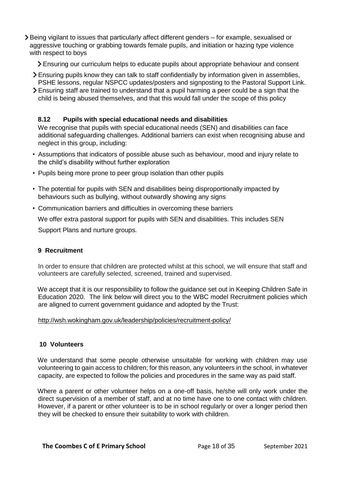- Being vigilant to issues that particularly affect different genders for example, sexualised or aggressive touching or grabbing towards female pupils, and initiation or hazing type violence with respect to boys
	- Ensuring our curriculum helps to educate pupils about appropriate behaviour and consent
	- Ensuring pupils know they can talk to staff confidentially by information given in assemblies, PSHE lessons, regular NSPCC updates/posters and signposting to the Pastoral Support Link.
	- Ensuring staff are trained to understand that a pupil harming a peer could be a sign that the child is being abused themselves, and that this would fall under the scope of this policy

# **8.12 Pupils with special educational needs and disabilities**

We recognise that pupils with special educational needs (SEN) and disabilities can face additional safeguarding challenges. Additional barriers can exist when recognising abuse and neglect in this group, including:

- Assumptions that indicators of possible abuse such as behaviour, mood and injury relate to the child's disability without further exploration
- Pupils being more prone to peer group isolation than other pupils
- The potential for pupils with SEN and disabilities being disproportionally impacted by behaviours such as bullying, without outwardly showing any signs
- Communication barriers and difficulties in overcoming these barriers

We offer extra pastoral support for pupils with SEN and disabilities. This includes SEN

Support Plans and nurture groups.

## **9 Recruitment**

In order to ensure that children are protected whilst at this school, we will ensure that staff and volunteers are carefully selected, screened, trained and supervised.

We accept that it is our responsibility to follow the guidance set out in Keeping Children Safe in Education 2020. The link below will direct you to the WBC model Recruitment policies which are aligned to current government guidance and adopted by the Trust:

<http://wsh.wokingham.gov.uk/leadership/policies/recruitment-policy/>

## **10 Volunteers**

We understand that some people otherwise unsuitable for working with children may use volunteering to gain access to children; for this reason, any volunteers in the school, in whatever capacity, are expected to follow the policies and procedures in the same way as paid staff.

Where a parent or other volunteer helps on a one-off basis, he/she will only work under the direct supervision of a member of staff, and at no time have one to one contact with children. However, if a parent or other volunteer is to be in school regularly or over a longer period then they will be checked to ensure their suitability to work with children.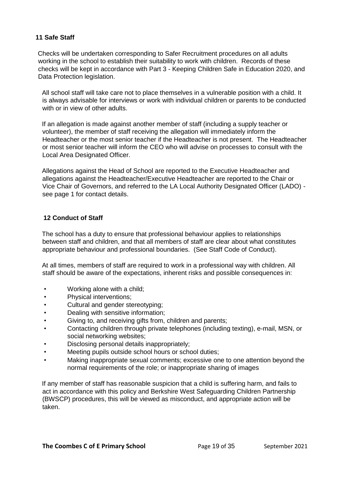# **11 Safe Staff**

Checks will be undertaken corresponding to Safer Recruitment procedures on all adults working in the school to establish their suitability to work with children. Records of these checks will be kept in accordance with Part 3 - Keeping Children Safe in Education 2020, and Data Protection legislation.

All school staff will take care not to place themselves in a vulnerable position with a child. It is always advisable for interviews or work with individual children or parents to be conducted with or in view of other adults.

If an allegation is made against another member of staff (including a supply teacher or volunteer), the member of staff receiving the allegation will immediately inform the Headteacher or the most senior teacher if the Headteacher is not present. The Headteacher or most senior teacher will inform the CEO who will advise on processes to consult with the Local Area Designated Officer.

Allegations against the Head of School are reported to the Executive Headteacher and allegations against the Headteacher/Executive Headteacher are reported to the Chair or Vice Chair of Governors, and referred to the LA Local Authority Designated Officer (LADO) see page 1 for contact details.

# **12 Conduct of Staff**

The school has a duty to ensure that professional behaviour applies to relationships between staff and children, and that all members of staff are clear about what constitutes appropriate behaviour and professional boundaries. (See Staff Code of Conduct).

At all times, members of staff are required to work in a professional way with children. All staff should be aware of the expectations, inherent risks and possible consequences in:

- Working alone with a child;
- Physical interventions;
- Cultural and gender stereotyping;
- Dealing with sensitive information;
- Giving to, and receiving gifts from, children and parents;
- Contacting children through private telephones (including texting), e-mail, MSN, or social networking websites;
- Disclosing personal details inappropriately;
- Meeting pupils outside school hours or school duties;
- Making inappropriate sexual comments; excessive one to one attention beyond the normal requirements of the role; or inappropriate sharing of images

If any member of staff has reasonable suspicion that a child is suffering harm, and fails to act in accordance with this policy and Berkshire West Safeguarding Children Partnership (BWSCP) procedures, this will be viewed as misconduct, and appropriate action will be taken.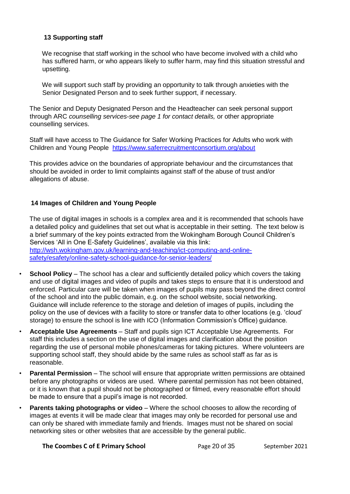# **13 Supporting staff**

We recognise that staff working in the school who have become involved with a child who has suffered harm, or who appears likely to suffer harm, may find this situation stressful and upsetting.

We will support such staff by providing an opportunity to talk through anxieties with the Senior Designated Person and to seek further support, if necessary.

The Senior and Deputy Designated Person and the Headteacher can seek personal support through ARC *counselling services-see page 1 for contact details,* or other appropriate counselling services.

Staff will have access to The Guidance for Safer Working Practices for Adults who work with Children and Young People <https://www.saferrecruitmentconsortium.org/about>

This provides advice on the boundaries of appropriate behaviour and the circumstances that should be avoided in order to limit complaints against staff of the abuse of trust and/or allegations of abuse.

# **14 Images of Children and Young People**

The use of digital images in schools is a complex area and it is recommended that schools have a detailed policy and guidelines that set out what is acceptable in their setting. The text below is a brief summary of the key points extracted from the Wokingham Borough Council Children's Services 'All in One E-Safety Guidelines', available via this link: [http://wsh.wokingham.gov.uk/learning-and-teaching/ict-computing-and-online](http://wsh.wokingham.gov.uk/learning-and-teaching/ict-computing-and-online-safety/e-safety/online-safety-school-guidance-for-senior-leaders/)[safety/esafety/online-safety-school-guidance-for-senior-leaders/](http://wsh.wokingham.gov.uk/learning-and-teaching/ict-computing-and-online-safety/e-safety/online-safety-school-guidance-for-senior-leaders/) 

- **School Policy** The school has a clear and sufficiently detailed policy which covers the taking and use of digital images and video of pupils and takes steps to ensure that it is understood and enforced. Particular care will be taken when images of pupils may pass beyond the direct control of the school and into the public domain, e.g. on the school website, social networking. Guidance will include reference to the storage and deletion of images of pupils, including the policy on the use of devices with a facility to store or transfer data to other locations (e.g. 'cloud' storage) to ensure the school is line with ICO (Information Commission's Office) guidance.
- **Acceptable Use Agreements**  Staff and pupils sign ICT Acceptable Use Agreements. For staff this includes a section on the use of digital images and clarification about the position regarding the use of personal mobile phones/cameras for taking pictures. Where volunteers are supporting school staff, they should abide by the same rules as school staff as far as is reasonable.
- **Parental Permission** The school will ensure that appropriate written permissions are obtained before any photographs or videos are used. Where parental permission has not been obtained, or it is known that a pupil should not be photographed or filmed, every reasonable effort should be made to ensure that a pupil's image is not recorded.
- **Parents taking photographs or video** Where the school chooses to allow the recording of images at events it will be made clear that images may only be recorded for personal use and can only be shared with immediate family and friends. Images must not be shared on social networking sites or other websites that are accessible by the general public.

**The Coombes C of E Primary School 2021** Page 20 of 35 September 2021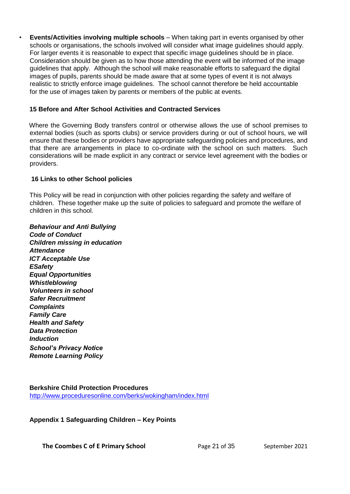• **Events/Activities involving multiple schools** – When taking part in events organised by other schools or organisations, the schools involved will consider what image guidelines should apply. For larger events it is reasonable to expect that specific image guidelines should be in place. Consideration should be given as to how those attending the event will be informed of the image guidelines that apply. Although the school will make reasonable efforts to safeguard the digital images of pupils, parents should be made aware that at some types of event it is not always realistic to strictly enforce image guidelines. The school cannot therefore be held accountable for the use of images taken by parents or members of the public at events.

# **15 Before and After School Activities and Contracted Services**

Where the Governing Body transfers control or otherwise allows the use of school premises to external bodies (such as sports clubs) or service providers during or out of school hours, we will ensure that these bodies or providers have appropriate safeguarding policies and procedures, and that there are arrangements in place to co-ordinate with the school on such matters. Such considerations will be made explicit in any contract or service level agreement with the bodies or providers.

# **16 Links to other School policies**

This Policy will be read in conjunction with other policies regarding the safety and welfare of children. These together make up the suite of policies to safeguard and promote the welfare of children in this school.

*Behaviour and Anti Bullying Code of Conduct Children missing in education Attendance ICT Acceptable Use ESafety Equal Opportunities Whistleblowing Volunteers in school Safer Recruitment Complaints Family Care Health and Safety Data Protection Induction School's Privacy Notice Remote Learning Policy* 

## **Berkshire Child Protection Procedures**

<http://www.proceduresonline.com/berks/wokingham/index.html>

# **Appendix 1 Safeguarding Children – Key Points**

**The Coombes C of E Primary School Fage 21 of 35** September 2021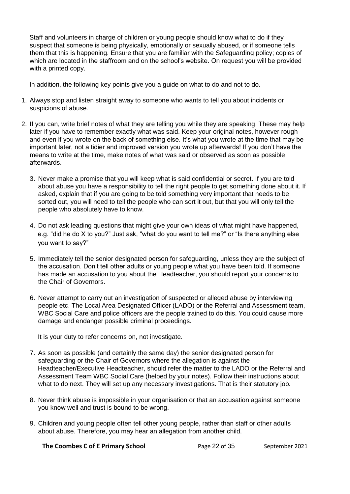Staff and volunteers in charge of children or young people should know what to do if they suspect that someone is being physically, emotionally or sexually abused, or if someone tells them that this is happening. Ensure that you are familiar with the Safeguarding policy; copies of which are located in the staffroom and on the school's website. On request you will be provided with a printed copy.

In addition, the following key points give you a guide on what to do and not to do.

- 1. Always stop and listen straight away to someone who wants to tell you about incidents or suspicions of abuse.
- 2. If you can, write brief notes of what they are telling you while they are speaking. These may help later if you have to remember exactly what was said. Keep your original notes, however rough and even if you wrote on the back of something else. It's what you wrote at the time that may be important later, not a tidier and improved version you wrote up afterwards! If you don't have the means to write at the time, make notes of what was said or observed as soon as possible afterwards.
	- 3. Never make a promise that you will keep what is said confidential or secret. If you are told about abuse you have a responsibility to tell the right people to get something done about it. If asked, explain that if you are going to be told something very important that needs to be sorted out, you will need to tell the people who can sort it out, but that you will only tell the people who absolutely have to know.
	- 4. Do not ask leading questions that might give your own ideas of what might have happened, e.g. "did he do X to you?" Just ask, "what do you want to tell me?" or "Is there anything else you want to say?"
	- 5. Immediately tell the senior designated person for safeguarding, unless they are the subject of the accusation. Don't tell other adults or young people what you have been told. If someone has made an accusation to you about the Headteacher, you should report your concerns to the Chair of Governors.
	- 6. Never attempt to carry out an investigation of suspected or alleged abuse by interviewing people etc. The Local Area Designated Officer (LADO) or the Referral and Assessment team, WBC Social Care and police officers are the people trained to do this. You could cause more damage and endanger possible criminal proceedings.

It is your duty to refer concerns on, not investigate.

- 7. As soon as possible (and certainly the same day) the senior designated person for safeguarding or the Chair of Governors where the allegation is against the Headteacher/Executive Headteacher, should refer the matter to the LADO or the Referral and Assessment Team WBC Social Care (helped by your notes). Follow their instructions about what to do next. They will set up any necessary investigations. That is their statutory job.
- 8. Never think abuse is impossible in your organisation or that an accusation against someone you know well and trust is bound to be wrong.
- 9. Children and young people often tell other young people, rather than staff or other adults about abuse. Therefore, you may hear an allegation from another child.

**The Coombes C of E Primary School Fage 22 of 35 September 2021**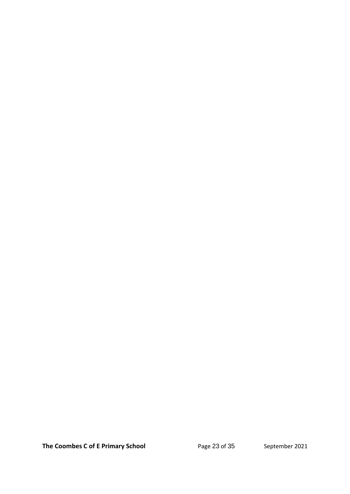The Coombes C of E Primary School Page 23 of 35 September 2021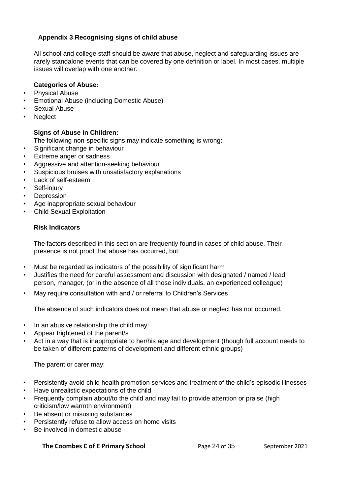# **Appendix 3 Recognising signs of child abuse**

All school and college staff should be aware that abuse, neglect and safeguarding issues are rarely standalone events that can be covered by one definition or label. In most cases, multiple issues will overlap with one another.

# **Categories of Abuse:**

- Physical Abuse
- Emotional Abuse (including Domestic Abuse)
- Sexual Abuse
- Neglect

## **Signs of Abuse in Children:**

The following non-specific signs may indicate something is wrong:

- Significant change in behaviour
- Extreme anger or sadness
- Aggressive and attention-seeking behaviour
- Suspicious bruises with unsatisfactory explanations
- Lack of self-esteem
- Self-injury
- Depression
- Age inappropriate sexual behaviour
- Child Sexual Exploitation

#### **Risk Indicators**

The factors described in this section are frequently found in cases of child abuse. Their presence is not proof that abuse has occurred, but:

- Must be regarded as indicators of the possibility of significant harm
- Justifies the need for careful assessment and discussion with designated / named / lead person, manager, (or in the absence of all those individuals, an experienced colleague)
- May require consultation with and / or referral to Children's Services

The absence of such indicators does not mean that abuse or neglect has not occurred.

- In an abusive relationship the child may:
- Appear frightened of the parent/s
- Act in a way that is inappropriate to her/his age and development (though full account needs to be taken of different patterns of development and different ethnic groups)

The parent or carer may:

- Persistently avoid child health promotion services and treatment of the child's episodic illnesses
- Have unrealistic expectations of the child
- Frequently complain about/to the child and may fail to provide attention or praise (high criticism/low warmth environment)
- Be absent or misusing substances
- Persistently refuse to allow access on home visits
- Be involved in domestic abuse

## **The Coombes C of E Primary School 2021** Page 24 of 35 September 2021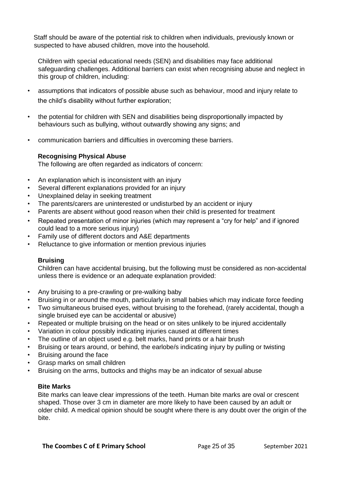Staff should be aware of the potential risk to children when individuals, previously known or suspected to have abused children, move into the household.

Children with special educational needs (SEN) and disabilities may face additional safeguarding challenges. Additional barriers can exist when recognising abuse and neglect in this group of children, including:

- assumptions that indicators of possible abuse such as behaviour, mood and injury relate to the child's disability without further exploration;
- the potential for children with SEN and disabilities being disproportionally impacted by behaviours such as bullying, without outwardly showing any signs; and
- communication barriers and difficulties in overcoming these barriers.

# **Recognising Physical Abuse**

The following are often regarded as indicators of concern:

- An explanation which is inconsistent with an injury
- Several different explanations provided for an injury
- Unexplained delay in seeking treatment
- The parents/carers are uninterested or undisturbed by an accident or injury
- Parents are absent without good reason when their child is presented for treatment
- Repeated presentation of minor injuries (which may represent a "cry for help" and if ignored could lead to a more serious injury)
- Family use of different doctors and A&E departments
- Reluctance to give information or mention previous injuries

## **Bruising**

Children can have accidental bruising, but the following must be considered as non-accidental unless there is evidence or an adequate explanation provided:

- Any bruising to a pre-crawling or pre-walking baby
- Bruising in or around the mouth, particularly in small babies which may indicate force feeding
- Two simultaneous bruised eyes, without bruising to the forehead, (rarely accidental, though a single bruised eye can be accidental or abusive)
- Repeated or multiple bruising on the head or on sites unlikely to be injured accidentally
- Variation in colour possibly indicating injuries caused at different times
- The outline of an object used e.g. belt marks, hand prints or a hair brush
- Bruising or tears around, or behind, the earlobe/s indicating injury by pulling or twisting
- Bruising around the face
- Grasp marks on small children
- Bruising on the arms, buttocks and thighs may be an indicator of sexual abuse

# **Bite Marks**

Bite marks can leave clear impressions of the teeth. Human bite marks are oval or crescent shaped. Those over 3 cm in diameter are more likely to have been caused by an adult or older child. A medical opinion should be sought where there is any doubt over the origin of the bite.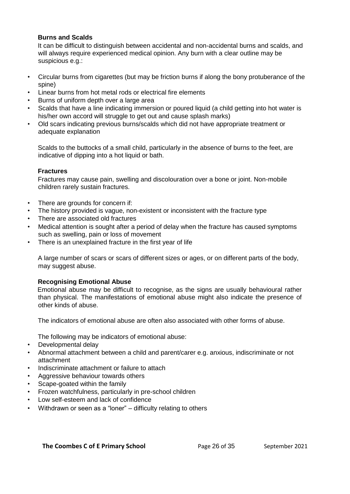# **Burns and Scalds**

It can be difficult to distinguish between accidental and non-accidental burns and scalds, and will always require experienced medical opinion. Any burn with a clear outline may be suspicious e.g.:

- Circular burns from cigarettes (but may be friction burns if along the bony protuberance of the spine)
- Linear burns from hot metal rods or electrical fire elements
- Burns of uniform depth over a large area
- Scalds that have a line indicating immersion or poured liquid (a child getting into hot water is his/her own accord will struggle to get out and cause splash marks)
- Old scars indicating previous burns/scalds which did not have appropriate treatment or adequate explanation

Scalds to the buttocks of a small child, particularly in the absence of burns to the feet, are indicative of dipping into a hot liquid or bath.

# **Fractures**

Fractures may cause pain, swelling and discolouration over a bone or joint. Non-mobile children rarely sustain fractures.

- There are grounds for concern if:
- The history provided is vague, non-existent or inconsistent with the fracture type
- There are associated old fractures
- Medical attention is sought after a period of delay when the fracture has caused symptoms such as swelling, pain or loss of movement
- There is an unexplained fracture in the first year of life

A large number of scars or scars of different sizes or ages, or on different parts of the body, may suggest abuse.

## **Recognising Emotional Abuse**

Emotional abuse may be difficult to recognise, as the signs are usually behavioural rather than physical. The manifestations of emotional abuse might also indicate the presence of other kinds of abuse.

The indicators of emotional abuse are often also associated with other forms of abuse.

The following may be indicators of emotional abuse:

- Developmental delay
- Abnormal attachment between a child and parent/carer e.g. anxious, indiscriminate or not attachment
- Indiscriminate attachment or failure to attach
- Aggressive behaviour towards others
- Scape-goated within the family
- Frozen watchfulness, particularly in pre-school children
- Low self-esteem and lack of confidence
- Withdrawn or seen as a "loner" difficulty relating to others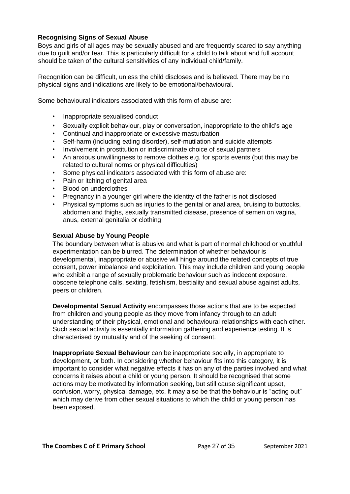# **Recognising Signs of Sexual Abuse**

Boys and girls of all ages may be sexually abused and are frequently scared to say anything due to guilt and/or fear. This is particularly difficult for a child to talk about and full account should be taken of the cultural sensitivities of any individual child/family.

Recognition can be difficult, unless the child discloses and is believed. There may be no physical signs and indications are likely to be emotional/behavioural.

Some behavioural indicators associated with this form of abuse are:

- Inappropriate sexualised conduct
- Sexually explicit behaviour, play or conversation, inappropriate to the child's age
- Continual and inappropriate or excessive masturbation
- Self-harm (including eating disorder), self-mutilation and suicide attempts
- Involvement in prostitution or indiscriminate choice of sexual partners
- An anxious unwillingness to remove clothes e.g. for sports events (but this may be related to cultural norms or physical difficulties)
- Some physical indicators associated with this form of abuse are:
- Pain or itching of genital area
- Blood on underclothes
- Pregnancy in a younger girl where the identity of the father is not disclosed
- Physical symptoms such as injuries to the genital or anal area, bruising to buttocks, abdomen and thighs, sexually transmitted disease, presence of semen on vagina, anus, external genitalia or clothing

#### **Sexual Abuse by Young People**

The boundary between what is abusive and what is part of normal childhood or youthful experimentation can be blurred. The determination of whether behaviour is developmental, inappropriate or abusive will hinge around the related concepts of true consent, power imbalance and exploitation. This may include children and young people who exhibit a range of sexually problematic behaviour such as indecent exposure, obscene telephone calls, sexting, fetishism, bestiality and sexual abuse against adults, peers or children.

**Developmental Sexual Activity** encompasses those actions that are to be expected from children and young people as they move from infancy through to an adult understanding of their physical, emotional and behavioural relationships with each other. Such sexual activity is essentially information gathering and experience testing. It is characterised by mutuality and of the seeking of consent.

**Inappropriate Sexual Behaviour** can be inappropriate socially, in appropriate to development, or both. In considering whether behaviour fits into this category, it is important to consider what negative effects it has on any of the parties involved and what concerns it raises about a child or young person. It should be recognised that some actions may be motivated by information seeking, but still cause significant upset, confusion, worry, physical damage, etc. it may also be that the behaviour is "acting out" which may derive from other sexual situations to which the child or young person has been exposed.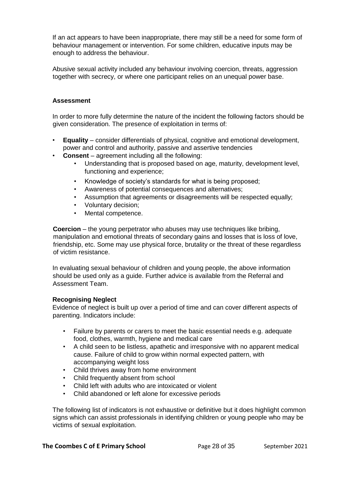If an act appears to have been inappropriate, there may still be a need for some form of behaviour management or intervention. For some children, educative inputs may be enough to address the behaviour.

Abusive sexual activity included any behaviour involving coercion, threats, aggression together with secrecy, or where one participant relies on an unequal power base.

## **Assessment**

In order to more fully determine the nature of the incident the following factors should be given consideration. The presence of exploitation in terms of:

- **Equality**  consider differentials of physical, cognitive and emotional development, power and control and authority, passive and assertive tendencies
- **Consent**  agreement including all the following:
	- Understanding that is proposed based on age, maturity, development level, functioning and experience;
	- Knowledge of society's standards for what is being proposed;
	- Awareness of potential consequences and alternatives;
	- Assumption that agreements or disagreements will be respected equally;
	- Voluntary decision;
	- Mental competence.

**Coercion** – the young perpetrator who abuses may use techniques like bribing, manipulation and emotional threats of secondary gains and losses that is loss of love, friendship, etc. Some may use physical force, brutality or the threat of these regardless of victim resistance.

In evaluating sexual behaviour of children and young people, the above information should be used only as a guide. Further advice is available from the Referral and Assessment Team.

## **Recognising Neglect**

Evidence of neglect is built up over a period of time and can cover different aspects of parenting. Indicators include:

- Failure by parents or carers to meet the basic essential needs e.g. adequate food, clothes, warmth, hygiene and medical care
- A child seen to be listless, apathetic and irresponsive with no apparent medical cause. Failure of child to grow within normal expected pattern, with accompanying weight loss
- Child thrives away from home environment
- Child frequently absent from school
- Child left with adults who are intoxicated or violent
- Child abandoned or left alone for excessive periods

The following list of indicators is not exhaustive or definitive but it does highlight common signs which can assist professionals in identifying children or young people who may be victims of sexual exploitation.

## **The Coombes C of E Primary School September 2021** Page 28 of 35 September 2021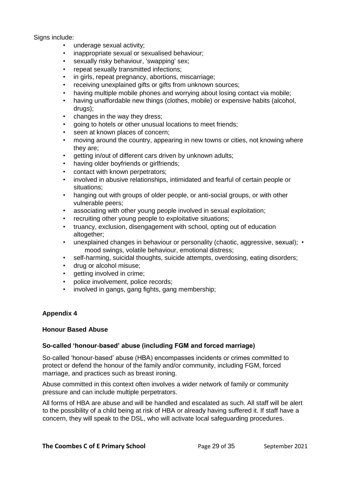Signs include:

- underage sexual activity;
- inappropriate sexual or sexualised behaviour;
- sexually risky behaviour, 'swapping' sex;
- repeat sexually transmitted infections;
- in girls, repeat pregnancy, abortions, miscarriage;
- receiving unexplained gifts or gifts from unknown sources;
- having multiple mobile phones and worrying about losing contact via mobile;
- having unaffordable new things (clothes, mobile) or expensive habits (alcohol, drugs);
- changes in the way they dress;
- going to hotels or other unusual locations to meet friends;
- seen at known places of concern;
- moving around the country, appearing in new towns or cities, not knowing where they are;
- getting in/out of different cars driven by unknown adults;
- having older boyfriends or girlfriends;
- contact with known perpetrators;
- involved in abusive relationships, intimidated and fearful of certain people or situations;
- hanging out with groups of older people, or anti-social groups, or with other vulnerable peers;
- associating with other young people involved in sexual exploitation;
- recruiting other young people to exploitative situations;
- truancy, exclusion, disengagement with school, opting out of education altogether;
- unexplained changes in behaviour or personality (chaotic, aggressive, sexual); mood swings, volatile behaviour, emotional distress;
- self-harming, suicidal thoughts, suicide attempts, overdosing, eating disorders;
- drug or alcohol misuse;
- qetting involved in crime;
- police involvement, police records;
- involved in gangs, gang fights, gang membership;

# **Appendix 4**

## **Honour Based Abuse**

## **So-called 'honour-based' abuse (including FGM and forced marriage)**

So-called 'honour-based' abuse (HBA) encompasses incidents or crimes committed to protect or defend the honour of the family and/or community, including FGM, forced marriage, and practices such as breast ironing.

Abuse committed in this context often involves a wider network of family or community pressure and can include multiple perpetrators.

All forms of HBA are abuse and will be handled and escalated as such. All staff will be alert to the possibility of a child being at risk of HBA or already having suffered it. If staff have a concern, they will speak to the DSL, who will activate local safeguarding procedures.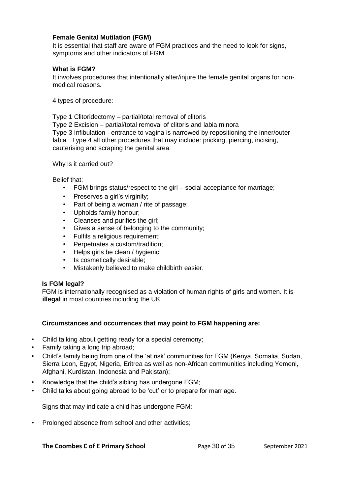# **Female Genital Mutilation (FGM)**

It is essential that staff are aware of FGM practices and the need to look for signs, symptoms and other indicators of FGM.

# **What is FGM?**

It involves procedures that intentionally alter/injure the female genital organs for nonmedical reasons.

4 types of procedure:

Type 1 Clitoridectomy – partial/total removal of clitoris Type 2 Excision – partial/total removal of clitoris and labia minora

Type 3 Infibulation - entrance to vagina is narrowed by repositioning the inner/outer labia Type 4 all other procedures that may include: pricking, piercing, incising, cauterising and scraping the genital area.

Why is it carried out?

Belief that:

- FGM brings status/respect to the girl social acceptance for marriage;
- Preserves a girl's virginity;
- Part of being a woman / rite of passage;
- Upholds family honour;
- Cleanses and purifies the girl;
- Gives a sense of belonging to the community;
- Fulfils a religious requirement;
- Perpetuates a custom/tradition;
- Helps girls be clean / hygienic;
- Is cosmetically desirable;
- Mistakenly believed to make childbirth easier.

## **Is FGM legal?**

FGM is internationally recognised as a violation of human rights of girls and women. It is **illegal** in most countries including the UK.

## **Circumstances and occurrences that may point to FGM happening are:**

- Child talking about getting ready for a special ceremony;
- Family taking a long trip abroad;
- Child's family being from one of the 'at risk' communities for FGM (Kenya, Somalia, Sudan, Sierra Leon, Egypt, Nigeria, Eritrea as well as non-African communities including Yemeni, Afghani, Kurdistan, Indonesia and Pakistan);
- Knowledge that the child's sibling has undergone FGM;
- Child talks about going abroad to be 'cut' or to prepare for marriage.

Signs that may indicate a child has undergone FGM:

• Prolonged absence from school and other activities;

**The Coombes C of E Primary School 2021** Page 30 of 35 September 2021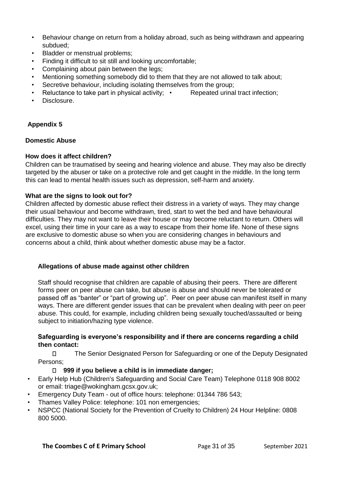- Behaviour change on return from a holiday abroad, such as being withdrawn and appearing subdued;
- Bladder or menstrual problems;
- Finding it difficult to sit still and looking uncomfortable;
- Complaining about pain between the legs;
- Mentioning something somebody did to them that they are not allowed to talk about;
- Secretive behaviour, including isolating themselves from the group;
- Reluctance to take part in physical activity; Repeated urinal tract infection;
- Disclosure.

# **Appendix 5**

## **Domestic Abuse**

## **How does it affect children?**

Children can be traumatised by seeing and hearing violence and abuse. They may also be directly targeted by the abuser or take on a protective role and get caught in the middle. In the long term this can lead to mental health issues such as depression, self-harm and anxiety.

## **What are the signs to look out for?**

Children affected by domestic abuse reflect their distress in a variety of ways. They may change their usual behaviour and become withdrawn, tired, start to wet the bed and have behavioural difficulties. They may not want to leave their house or may become reluctant to return. Others will excel, using their time in your care as a way to escape from their home life. None of these signs are exclusive to domestic abuse so when you are considering changes in behaviours and concerns about a child, think about whether domestic abuse may be a factor.

## **Allegations of abuse made against other children**

Staff should recognise that children are capable of abusing their peers. There are different forms peer on peer abuse can take, but abuse is abuse and should never be tolerated or passed off as "banter" or "part of growing up". Peer on peer abuse can manifest itself in many ways. There are different gender issues that can be prevalent when dealing with peer on peer abuse. This could, for example, including children being sexually touched/assaulted or being subject to initiation/hazing type violence.

## **Safeguarding is everyone's responsibility and if there are concerns regarding a child then contact:**

The Senior Designated Person for Safeguarding or one of the Deputy Designated  $\Box$ Persons;

## **999 if you believe a child is in immediate danger;**

- Early Help Hub (Children's Safeguarding and Social Care Team) Telephone 0118 908 8002 or email: triage@wokingham.gcsx.gov.uk;
- Emergency Duty Team out of office hours: telephone: 01344 786 543;
- Thames Valley Police: telephone: 101 non emergencies;
- NSPCC (National Society for the Prevention of Cruelty to Children) 24 Hour Helpline: 0808 800 5000.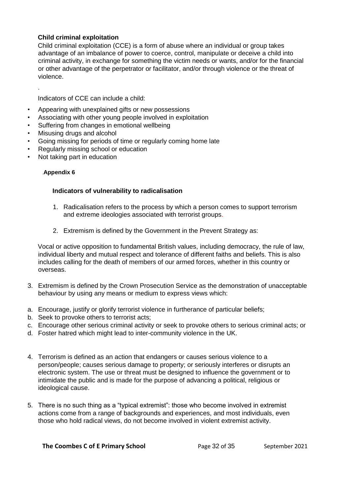# **Child criminal exploitation**

Child criminal exploitation (CCE) is a form of abuse where an individual or group takes advantage of an imbalance of power to coerce, control, manipulate or deceive a child into criminal activity, in exchange for something the victim needs or wants, and/or for the financial or other advantage of the perpetrator or facilitator, and/or through violence or the threat of violence.

Indicators of CCE can include a child:

- Appearing with unexplained gifts or new possessions
- Associating with other young people involved in exploitation
- Suffering from changes in emotional wellbeing
- Misusing drugs and alcohol
- Going missing for periods of time or regularly coming home late
- Regularly missing school or education
- Not taking part in education

## .**Appendix 6**

.

## **Indicators of vulnerability to radicalisation**

- 1. Radicalisation refers to the process by which a person comes to support terrorism and extreme ideologies associated with terrorist groups.
- 2. Extremism is defined by the Government in the Prevent Strategy as:

Vocal or active opposition to fundamental British values, including democracy, the rule of law, individual liberty and mutual respect and tolerance of different faiths and beliefs. This is also includes calling for the death of members of our armed forces, whether in this country or overseas.

- 3. Extremism is defined by the Crown Prosecution Service as the demonstration of unacceptable behaviour by using any means or medium to express views which:
- a. Encourage, justify or glorify terrorist violence in furtherance of particular beliefs;
- b. Seek to provoke others to terrorist acts;
- c. Encourage other serious criminal activity or seek to provoke others to serious criminal acts; or
- d. Foster hatred which might lead to inter-community violence in the UK.
- 4. Terrorism is defined as an action that endangers or causes serious violence to a person/people; causes serious damage to property; or seriously interferes or disrupts an electronic system. The use or threat must be designed to influence the government or to intimidate the public and is made for the purpose of advancing a political, religious or ideological cause.
- 5. There is no such thing as a "typical extremist": those who become involved in extremist actions come from a range of backgrounds and experiences, and most individuals, even those who hold radical views, do not become involved in violent extremist activity.

#### **The Coombes C of E Primary School Fage 32 of 35** September 2021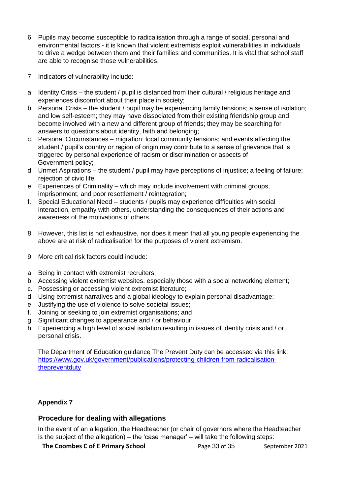- 6. Pupils may become susceptible to radicalisation through a range of social, personal and environmental factors - it is known that violent extremists exploit vulnerabilities in individuals to drive a wedge between them and their families and communities. It is vital that school staff are able to recognise those vulnerabilities.
- 7. Indicators of vulnerability include:
- a. Identity Crisis the student / pupil is distanced from their cultural / religious heritage and experiences discomfort about their place in society;
- b. Personal Crisis the student / pupil may be experiencing family tensions; a sense of isolation; and low self-esteem; they may have dissociated from their existing friendship group and become involved with a new and different group of friends; they may be searching for answers to questions about identity, faith and belonging;
- c. Personal Circumstances migration; local community tensions; and events affecting the student / pupil's country or region of origin may contribute to a sense of grievance that is triggered by personal experience of racism or discrimination or aspects of Government policy;
- d. Unmet Aspirations the student / pupil may have perceptions of injustice; a feeling of failure; rejection of civic life;
- e. Experiences of Criminality which may include involvement with criminal groups, imprisonment, and poor resettlement / reintegration;
- f. Special Educational Need students / pupils may experience difficulties with social interaction, empathy with others, understanding the consequences of their actions and awareness of the motivations of others.
- 8. However, this list is not exhaustive, nor does it mean that all young people experiencing the above are at risk of radicalisation for the purposes of violent extremism.
- 9. More critical risk factors could include:
- a. Being in contact with extremist recruiters;
- b. Accessing violent extremist websites, especially those with a social networking element;
- c. Possessing or accessing violent extremist literature;
- d. Using extremist narratives and a global ideology to explain personal disadvantage;
- e. Justifying the use of violence to solve societal issues;
- f. Joining or seeking to join extremist organisations; and
- g. Significant changes to appearance and / or behaviour;
- h. Experiencing a high level of social isolation resulting in issues of identity crisis and / or personal crisis.

The Department of Education guidance The Prevent Duty can be accessed via this link: [https://www.gov.uk/government/publications/protecting-children-from-radicalisation](https://www.gov.uk/government/publications/protecting-children-from-radicalisation-the-prevent-duty)**[thepreventduty](https://www.gov.uk/government/publications/protecting-children-from-radicalisation-the-prevent-duty)** 

# **Appendix 7**

# **Procedure for dealing with allegations**

In the event of an allegation, the Headteacher (or chair of governors where the Headteacher is the subject of the allegation) – the 'case manager' – will take the following steps:

**The Coombes C of E Primary School** Page 33 of 35 September 2021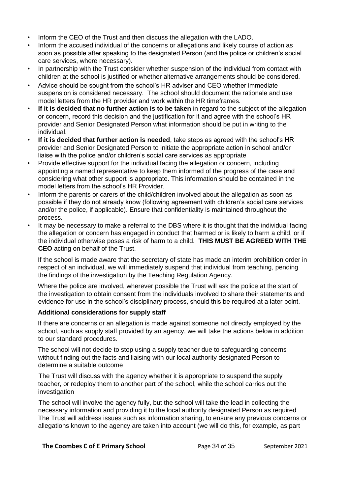- Inform the CEO of the Trust and then discuss the allegation with the LADO.
- Inform the accused individual of the concerns or allegations and likely course of action as soon as possible after speaking to the designated Person (and the police or children's social care services, where necessary).
- In partnership with the Trust consider whether suspension of the individual from contact with children at the school is justified or whether alternative arrangements should be considered.
- Advice should be sought from the school's HR adviser and CEO whether immediate suspension is considered necessary. The school should document the rationale and use model letters from the HR provider and work within the HR timeframes.
- **If it is decided that no further action is to be taken** in regard to the subject of the allegation or concern, record this decision and the justification for it and agree with the school's HR provider and Senior Designated Person what information should be put in writing to the individual.
- **If it is decided that further action is needed**, take steps as agreed with the school's HR provider and Senior Designated Person to initiate the appropriate action in school and/or liaise with the police and/or children's social care services as appropriate
- Provide effective support for the individual facing the allegation or concern, including appointing a named representative to keep them informed of the progress of the case and considering what other support is appropriate. This information should be contained in the model letters from the school's HR Provider.
- Inform the parents or carers of the child/children involved about the allegation as soon as possible if they do not already know (following agreement with children's social care services and/or the police, if applicable). Ensure that confidentiality is maintained throughout the process.
- It may be necessary to make a referral to the DBS where it is thought that the individual facing the allegation or concern has engaged in conduct that harmed or is likely to harm a child, or if the individual otherwise poses a risk of harm to a child. **THIS MUST BE AGREED WITH THE CEO** acting on behalf of the Trust.

If the school is made aware that the secretary of state has made an interim prohibition order in respect of an individual, we will immediately suspend that individual from teaching, pending the findings of the investigation by the Teaching Regulation Agency.

Where the police are involved, wherever possible the Trust will ask the police at the start of the investigation to obtain consent from the individuals involved to share their statements and evidence for use in the school's disciplinary process, should this be required at a later point.

## **Additional considerations for supply staff**

If there are concerns or an allegation is made against someone not directly employed by the school, such as supply staff provided by an agency, we will take the actions below in addition to our standard procedures.

The school will not decide to stop using a supply teacher due to safeguarding concerns without finding out the facts and liaising with our local authority designated Person to determine a suitable outcome

 The Trust will discuss with the agency whether it is appropriate to suspend the supply teacher, or redeploy them to another part of the school, while the school carries out the investigation

 The school will involve the agency fully, but the school will take the lead in collecting the necessary information and providing it to the local authority designated Person as required The Trust will address issues such as information sharing, to ensure any previous concerns or allegations known to the agency are taken into account (we will do this, for example, as part

#### **The Coombes C of E Primary School 2021** Page 34 of 35 September 2021